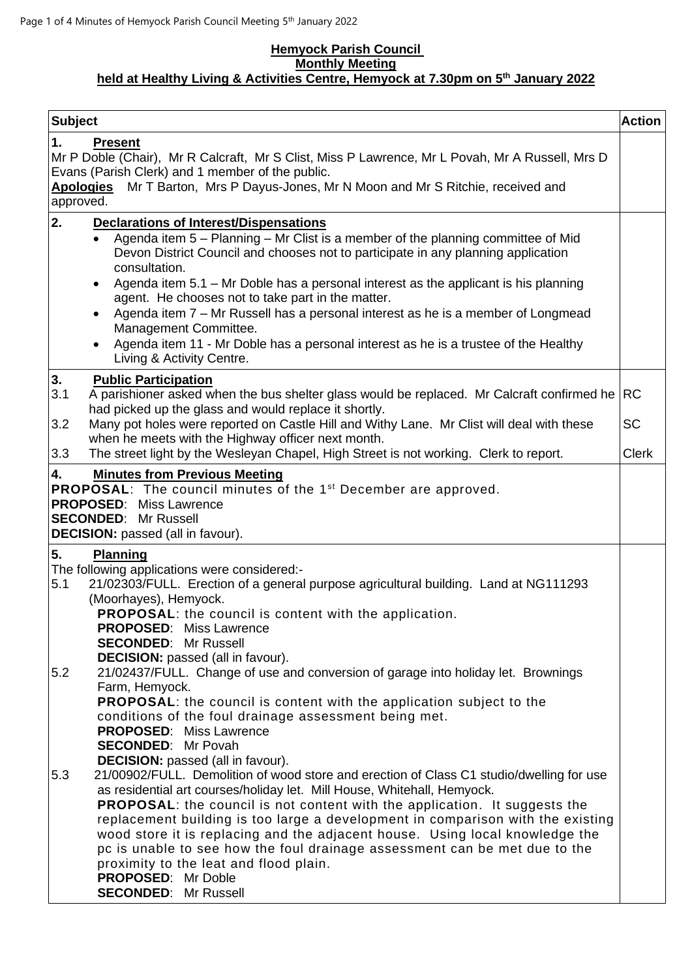## **Hemyock Parish Council Monthly Meeting held at Healthy Living & Activities Centre, Hemyock at 7.30pm on 5 th January 2022**

| <b>Subject</b>                                                                                                                                                                                                                                                                                                                                                                                                                                                                                                                                                                                                  | <b>Action</b>             |
|-----------------------------------------------------------------------------------------------------------------------------------------------------------------------------------------------------------------------------------------------------------------------------------------------------------------------------------------------------------------------------------------------------------------------------------------------------------------------------------------------------------------------------------------------------------------------------------------------------------------|---------------------------|
| 1.<br><b>Present</b><br>Mr P Doble (Chair), Mr R Calcraft, Mr S Clist, Miss P Lawrence, Mr L Povah, Mr A Russell, Mrs D<br>Evans (Parish Clerk) and 1 member of the public.<br>Mr T Barton, Mrs P Dayus-Jones, Mr N Moon and Mr S Ritchie, received and<br><u>Apologies</u><br>approved.                                                                                                                                                                                                                                                                                                                        |                           |
| 2.<br><b>Declarations of Interest/Dispensations</b><br>Agenda item 5 - Planning - Mr Clist is a member of the planning committee of Mid<br>$\bullet$<br>Devon District Council and chooses not to participate in any planning application<br>consultation.<br>Agenda item 5.1 - Mr Doble has a personal interest as the applicant is his planning                                                                                                                                                                                                                                                               |                           |
| agent. He chooses not to take part in the matter.<br>Agenda item 7 – Mr Russell has a personal interest as he is a member of Longmead<br>Management Committee.<br>Agenda item 11 - Mr Doble has a personal interest as he is a trustee of the Healthy<br>Living & Activity Centre.                                                                                                                                                                                                                                                                                                                              |                           |
| 3.<br><b>Public Participation</b><br>3.1<br>A parishioner asked when the bus shelter glass would be replaced. Mr Calcraft confirmed he<br>had picked up the glass and would replace it shortly.                                                                                                                                                                                                                                                                                                                                                                                                                 | <b>RC</b>                 |
| Many pot holes were reported on Castle Hill and Withy Lane. Mr Clist will deal with these<br>3.2<br>when he meets with the Highway officer next month.<br>The street light by the Wesleyan Chapel, High Street is not working. Clerk to report.<br>3.3                                                                                                                                                                                                                                                                                                                                                          | <b>SC</b><br><b>Clerk</b> |
| 4.<br><b>Minutes from Previous Meeting</b><br><b>PROPOSAL:</b> The council minutes of the 1 <sup>st</sup> December are approved.<br><b>PROPOSED:</b> Miss Lawrence<br><b>SECONDED: Mr Russell</b><br><b>DECISION:</b> passed (all in favour).<br>5.<br><b>Planning</b><br>The following applications were considered:-<br>21/02303/FULL. Erection of a general purpose agricultural building. Land at NG111293<br>5.1<br>(Moorhayes), Hemyock.<br><b>PROPOSAL:</b> the council is content with the application.                                                                                                 |                           |
| <b>PROPOSED:</b> Miss Lawrence<br><b>SECONDED: Mr Russell</b><br><b>DECISION:</b> passed (all in favour).<br>21/02437/FULL. Change of use and conversion of garage into holiday let. Brownings<br>5.2<br>Farm, Hemyock.<br><b>PROPOSAL:</b> the council is content with the application subject to the<br>conditions of the foul drainage assessment being met.<br><b>PROPOSED: Miss Lawrence</b><br><b>SECONDED:</b> Mr Povah<br><b>DECISION:</b> passed (all in favour).                                                                                                                                      |                           |
| 5.3<br>21/00902/FULL. Demolition of wood store and erection of Class C1 studio/dwelling for use<br>as residential art courses/holiday let. Mill House, Whitehall, Hemyock.<br><b>PROPOSAL:</b> the council is not content with the application. It suggests the<br>replacement building is too large a development in comparison with the existing<br>wood store it is replacing and the adjacent house. Using local knowledge the<br>pc is unable to see how the foul drainage assessment can be met due to the<br>proximity to the leat and flood plain.<br>PROPOSED: Mr Doble<br><b>SECONDED:</b> Mr Russell |                           |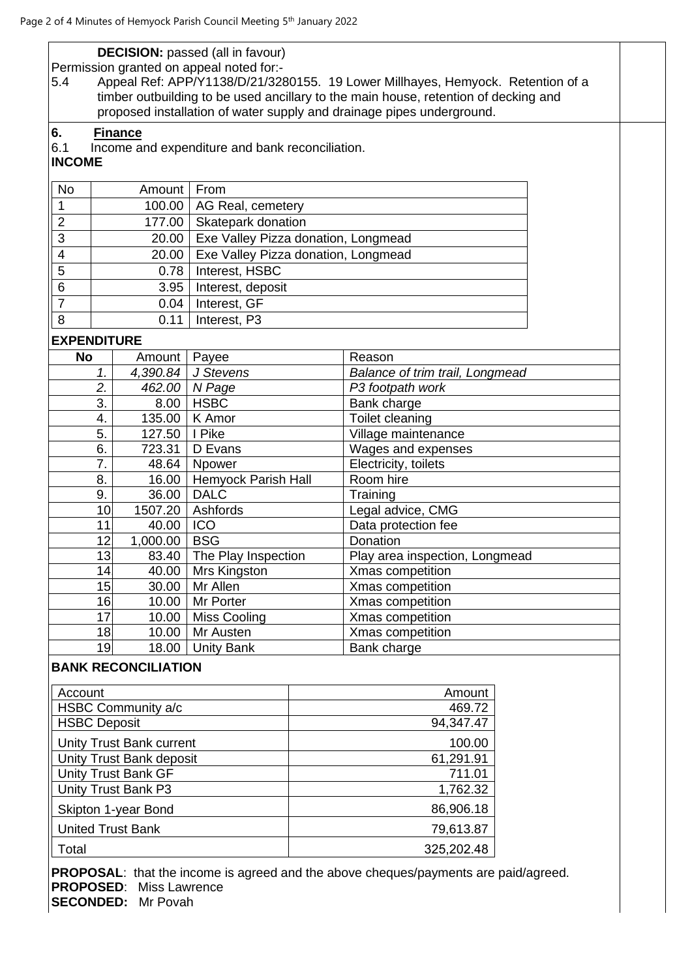|                                                                                        |                                                                                                                                                              | <b>DECISION:</b> passed (all in favour)         |          |                                      |  |  |  |
|----------------------------------------------------------------------------------------|--------------------------------------------------------------------------------------------------------------------------------------------------------------|-------------------------------------------------|----------|--------------------------------------|--|--|--|
|                                                                                        |                                                                                                                                                              | Permission granted on appeal noted for:-        |          |                                      |  |  |  |
| Appeal Ref: APP/Y1138/D/21/3280155. 19 Lower Millhayes, Hemyock. Retention of a<br>5.4 |                                                                                                                                                              |                                                 |          |                                      |  |  |  |
|                                                                                        | timber outbuilding to be used ancillary to the main house, retention of decking and<br>proposed installation of water supply and drainage pipes underground. |                                                 |          |                                      |  |  |  |
|                                                                                        |                                                                                                                                                              |                                                 |          |                                      |  |  |  |
| 6.                                                                                     | <b>Finance</b>                                                                                                                                               |                                                 |          |                                      |  |  |  |
| 6.1<br><b>INCOME</b>                                                                   |                                                                                                                                                              | Income and expenditure and bank reconciliation. |          |                                      |  |  |  |
|                                                                                        |                                                                                                                                                              |                                                 |          |                                      |  |  |  |
| <b>No</b>                                                                              | Amount                                                                                                                                                       | From                                            |          |                                      |  |  |  |
| 1                                                                                      | 100.00                                                                                                                                                       | AG Real, cemetery                               |          |                                      |  |  |  |
| $\overline{2}$                                                                         | 177.00                                                                                                                                                       | Skatepark donation                              |          |                                      |  |  |  |
| $\overline{3}$                                                                         | 20.00                                                                                                                                                        | Exe Valley Pizza donation, Longmead             |          |                                      |  |  |  |
| $\overline{\mathcal{A}}$                                                               | 20.00                                                                                                                                                        | Exe Valley Pizza donation, Longmead             |          |                                      |  |  |  |
| 5                                                                                      | 0.78                                                                                                                                                         | Interest, HSBC                                  |          |                                      |  |  |  |
| 6                                                                                      | 3.95                                                                                                                                                         | Interest, deposit                               |          |                                      |  |  |  |
| $\overline{7}$                                                                         | 0.04                                                                                                                                                         | Interest, GF                                    |          |                                      |  |  |  |
| 8                                                                                      | 0.11                                                                                                                                                         | Interest, P3                                    |          |                                      |  |  |  |
| <b>EXPENDITURE</b>                                                                     |                                                                                                                                                              |                                                 |          |                                      |  |  |  |
| No                                                                                     | Amount   Payee                                                                                                                                               |                                                 |          | Reason                               |  |  |  |
|                                                                                        | 1.<br>4,390.84                                                                                                                                               | J Stevens                                       |          | Balance of trim trail, Longmead      |  |  |  |
|                                                                                        | 2.<br>462.00                                                                                                                                                 | N Page                                          |          | P3 footpath work                     |  |  |  |
|                                                                                        | 3.<br>8.00                                                                                                                                                   | <b>HSBC</b>                                     |          | Bank charge                          |  |  |  |
|                                                                                        | 4.                                                                                                                                                           | 135.00   K Amor                                 |          | Toilet cleaning                      |  |  |  |
| 5.                                                                                     | 127.50                                                                                                                                                       | I Pike                                          |          | Village maintenance                  |  |  |  |
| 6.                                                                                     | 723.31                                                                                                                                                       | D Evans                                         |          | Wages and expenses                   |  |  |  |
|                                                                                        | 7.<br>48.64                                                                                                                                                  | Npower                                          |          | Electricity, toilets                 |  |  |  |
| 8.                                                                                     | 16.00                                                                                                                                                        | Hemyock Parish Hall                             |          | Room hire                            |  |  |  |
|                                                                                        | 36.00<br>9.                                                                                                                                                  | <b>DALC</b>                                     |          | Training                             |  |  |  |
|                                                                                        | 1507.20<br>10 <sub>1</sub>                                                                                                                                   | Ashfords                                        |          | Legal advice, CMG                    |  |  |  |
|                                                                                        | 11<br>40.00                                                                                                                                                  | <b>ICO</b>                                      |          | Data protection fee                  |  |  |  |
|                                                                                        | 12 <sub>1</sub><br>1,000.00                                                                                                                                  | <b>BSG</b>                                      |          | Donation                             |  |  |  |
|                                                                                        | 13<br>83.40                                                                                                                                                  | The Play Inspection                             |          | Play area inspection, Longmead       |  |  |  |
|                                                                                        | 40.00<br>14<br>15<br>30.00                                                                                                                                   | Mrs Kingston<br>Mr Allen                        |          | Xmas competition<br>Xmas competition |  |  |  |
|                                                                                        | 16<br>10.00                                                                                                                                                  | Mr Porter                                       |          | Xmas competition                     |  |  |  |
|                                                                                        | 17<br>10.00                                                                                                                                                  | Miss Cooling                                    |          | Xmas competition                     |  |  |  |
|                                                                                        | 18<br>10.00                                                                                                                                                  | Mr Austen                                       |          | Xmas competition                     |  |  |  |
|                                                                                        | 19<br>18.00                                                                                                                                                  | <b>Unity Bank</b>                               |          | Bank charge                          |  |  |  |
|                                                                                        | <b>BANK RECONCILIATION</b>                                                                                                                                   |                                                 |          |                                      |  |  |  |
|                                                                                        |                                                                                                                                                              |                                                 |          |                                      |  |  |  |
| Account                                                                                |                                                                                                                                                              |                                                 |          | Amount                               |  |  |  |
| HSBC Community a/c                                                                     |                                                                                                                                                              |                                                 |          | 469.72                               |  |  |  |
| <b>HSBC Deposit</b>                                                                    |                                                                                                                                                              |                                                 |          | 94,347.47                            |  |  |  |
| <b>Unity Trust Bank current</b>                                                        |                                                                                                                                                              |                                                 |          | 100.00                               |  |  |  |
| Unity Trust Bank deposit                                                               |                                                                                                                                                              |                                                 |          | 61,291.91                            |  |  |  |
| <b>Unity Trust Bank GF</b>                                                             |                                                                                                                                                              |                                                 |          | 711.01                               |  |  |  |
| Unity Trust Bank P3                                                                    |                                                                                                                                                              |                                                 | 1,762.32 |                                      |  |  |  |

Skipton 1-year Bond 86,906.18 United Trust Bank 79,613.87

Total 325,202.48

**PROPOSAL**: that the income is agreed and the above cheques/payments are paid/agreed. **PROPOSED**: Miss Lawrence **SECONDED:** Mr Povah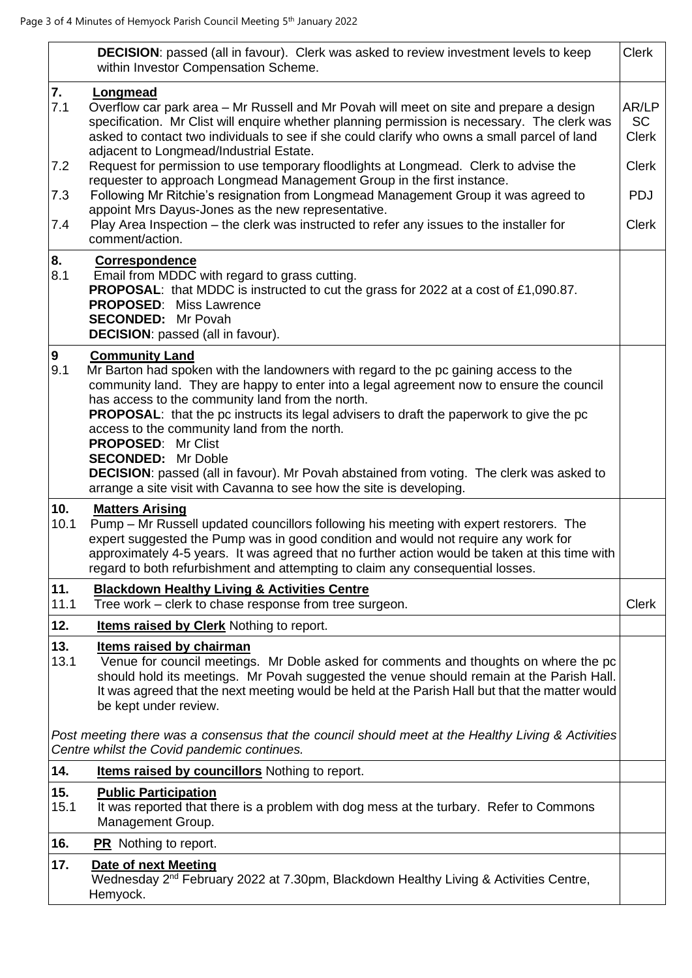|                                | <b>DECISION:</b> passed (all in favour). Clerk was asked to review investment levels to keep<br>within Investor Compensation Scheme.                                                                                                                                                                                                                                                                                                                                                                                                                                                                                                                                                                                                                                        | <b>Clerk</b>                                                                     |  |  |  |  |  |
|--------------------------------|-----------------------------------------------------------------------------------------------------------------------------------------------------------------------------------------------------------------------------------------------------------------------------------------------------------------------------------------------------------------------------------------------------------------------------------------------------------------------------------------------------------------------------------------------------------------------------------------------------------------------------------------------------------------------------------------------------------------------------------------------------------------------------|----------------------------------------------------------------------------------|--|--|--|--|--|
| 7.<br>7.1<br>7.2<br>7.3<br>7.4 | Longmead<br>Overflow car park area – Mr Russell and Mr Povah will meet on site and prepare a design<br>specification. Mr Clist will enquire whether planning permission is necessary. The clerk was<br>asked to contact two individuals to see if she could clarify who owns a small parcel of land<br>adjacent to Longmead/Industrial Estate.<br>Request for permission to use temporary floodlights at Longmead. Clerk to advise the<br>requester to approach Longmead Management Group in the first instance.<br>Following Mr Ritchie's resignation from Longmead Management Group it was agreed to<br>appoint Mrs Dayus-Jones as the new representative.<br>Play Area Inspection – the clerk was instructed to refer any issues to the installer for<br>comment/action. | AR/LP<br><b>SC</b><br><b>Clerk</b><br><b>Clerk</b><br><b>PDJ</b><br><b>Clerk</b> |  |  |  |  |  |
| 8.                             | <b>Correspondence</b>                                                                                                                                                                                                                                                                                                                                                                                                                                                                                                                                                                                                                                                                                                                                                       |                                                                                  |  |  |  |  |  |
| 8.1                            | Email from MDDC with regard to grass cutting.<br>PROPOSAL: that MDDC is instructed to cut the grass for 2022 at a cost of £1,090.87.<br><b>PROPOSED: Miss Lawrence</b><br><b>SECONDED:</b> Mr Povah<br><b>DECISION:</b> passed (all in favour).                                                                                                                                                                                                                                                                                                                                                                                                                                                                                                                             |                                                                                  |  |  |  |  |  |
| 9<br>9.1                       | <b>Community Land</b><br>Mr Barton had spoken with the landowners with regard to the pc gaining access to the<br>community land. They are happy to enter into a legal agreement now to ensure the council<br>has access to the community land from the north.<br><b>PROPOSAL:</b> that the pc instructs its legal advisers to draft the paperwork to give the pc<br>access to the community land from the north.<br><b>PROPOSED: Mr Clist</b><br><b>SECONDED:</b> Mr Doble<br>DECISION: passed (all in favour). Mr Povah abstained from voting. The clerk was asked to<br>arrange a site visit with Cavanna to see how the site is developing.                                                                                                                              |                                                                                  |  |  |  |  |  |
| 10.                            | <b>Matters Arising</b>                                                                                                                                                                                                                                                                                                                                                                                                                                                                                                                                                                                                                                                                                                                                                      |                                                                                  |  |  |  |  |  |
| 10.1                           | Pump – Mr Russell updated councillors following his meeting with expert restorers. The<br>expert suggested the Pump was in good condition and would not require any work for<br>approximately 4-5 years. It was agreed that no further action would be taken at this time with<br>regard to both refurbishment and attempting to claim any consequential losses.                                                                                                                                                                                                                                                                                                                                                                                                            |                                                                                  |  |  |  |  |  |
| 11.<br>11.1                    | <b>Blackdown Healthy Living &amp; Activities Centre</b><br>Tree work - clerk to chase response from tree surgeon.                                                                                                                                                                                                                                                                                                                                                                                                                                                                                                                                                                                                                                                           | <b>Clerk</b>                                                                     |  |  |  |  |  |
| 12.                            | <b>Items raised by Clerk Nothing to report.</b>                                                                                                                                                                                                                                                                                                                                                                                                                                                                                                                                                                                                                                                                                                                             |                                                                                  |  |  |  |  |  |
| 13.<br>13.1                    | Items raised by chairman<br>Venue for council meetings. Mr Doble asked for comments and thoughts on where the pc<br>should hold its meetings. Mr Povah suggested the venue should remain at the Parish Hall.<br>It was agreed that the next meeting would be held at the Parish Hall but that the matter would<br>be kept under review.                                                                                                                                                                                                                                                                                                                                                                                                                                     |                                                                                  |  |  |  |  |  |
|                                | Post meeting there was a consensus that the council should meet at the Healthy Living & Activities<br>Centre whilst the Covid pandemic continues.                                                                                                                                                                                                                                                                                                                                                                                                                                                                                                                                                                                                                           |                                                                                  |  |  |  |  |  |
| 14.                            | Items raised by councillors Nothing to report.                                                                                                                                                                                                                                                                                                                                                                                                                                                                                                                                                                                                                                                                                                                              |                                                                                  |  |  |  |  |  |
| 15.<br>15.1                    | <b>Public Participation</b><br>It was reported that there is a problem with dog mess at the turbary. Refer to Commons<br>Management Group.                                                                                                                                                                                                                                                                                                                                                                                                                                                                                                                                                                                                                                  |                                                                                  |  |  |  |  |  |
| 16.                            | <b>PR</b> Nothing to report.                                                                                                                                                                                                                                                                                                                                                                                                                                                                                                                                                                                                                                                                                                                                                |                                                                                  |  |  |  |  |  |
| 17.                            | <b>Date of next Meeting</b><br>Wednesday 2 <sup>nd</sup> February 2022 at 7.30pm, Blackdown Healthy Living & Activities Centre,<br>Hemyock.                                                                                                                                                                                                                                                                                                                                                                                                                                                                                                                                                                                                                                 |                                                                                  |  |  |  |  |  |